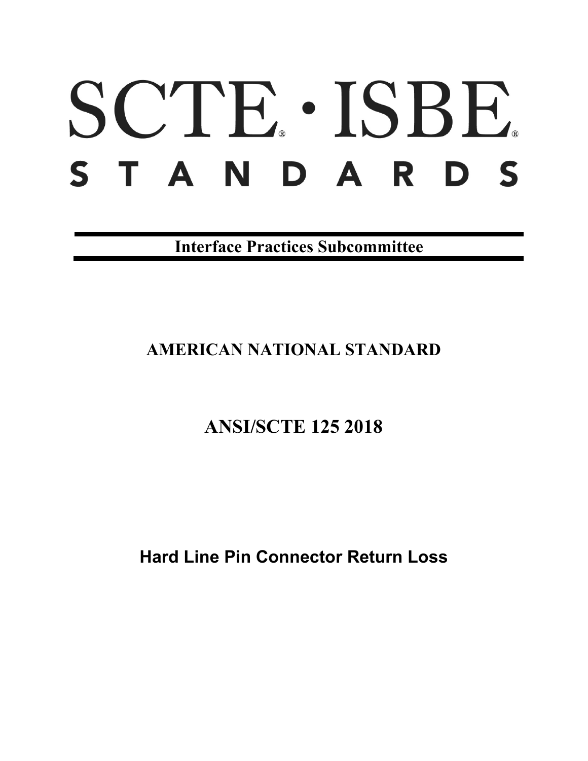# SCTE · ISBE. S T A N D A R D S

**Interface Practices Subcommittee**

# **AMERICAN NATIONAL STANDARD**

# **ANSI/SCTE 125 2018**

**Hard Line Pin Connector Return Loss**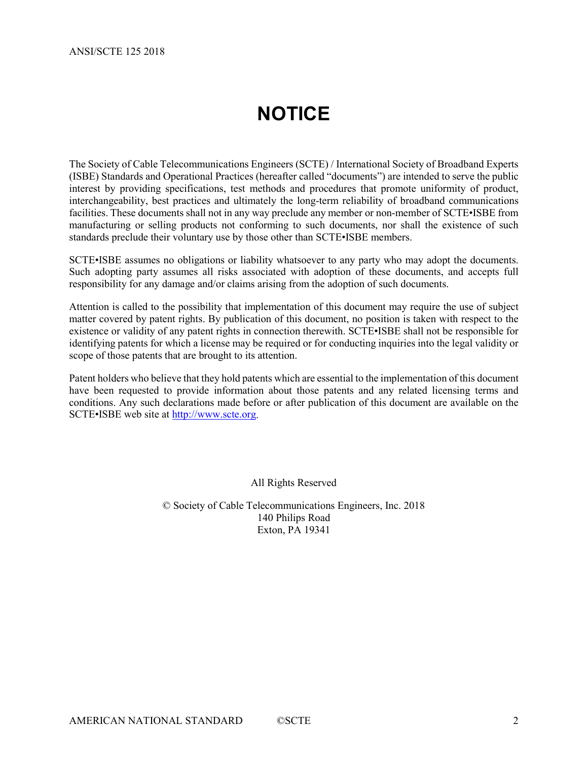# **NOTICE**

<span id="page-1-0"></span>The Society of Cable Telecommunications Engineers (SCTE) / International Society of Broadband Experts (ISBE) Standards and Operational Practices (hereafter called "documents") are intended to serve the public interest by providing specifications, test methods and procedures that promote uniformity of product, interchangeability, best practices and ultimately the long-term reliability of broadband communications facilities. These documents shall not in any way preclude any member or non-member of SCTE•ISBE from manufacturing or selling products not conforming to such documents, nor shall the existence of such standards preclude their voluntary use by those other than SCTE•ISBE members.

SCTE•ISBE assumes no obligations or liability whatsoever to any party who may adopt the documents. Such adopting party assumes all risks associated with adoption of these documents, and accepts full responsibility for any damage and/or claims arising from the adoption of such documents.

Attention is called to the possibility that implementation of this document may require the use of subject matter covered by patent rights. By publication of this document, no position is taken with respect to the existence or validity of any patent rights in connection therewith. SCTE•ISBE shall not be responsible for identifying patents for which a license may be required or for conducting inquiries into the legal validity or scope of those patents that are brought to its attention.

Patent holders who believe that they hold patents which are essential to the implementation of this document have been requested to provide information about those patents and any related licensing terms and conditions. Any such declarations made before or after publication of this document are available on the SCTE•ISBE web site at [http://www.scte.org.](http://www.scte.org/)

All Rights Reserved

© Society of Cable Telecommunications Engineers, Inc. 2018 140 Philips Road Exton, PA 19341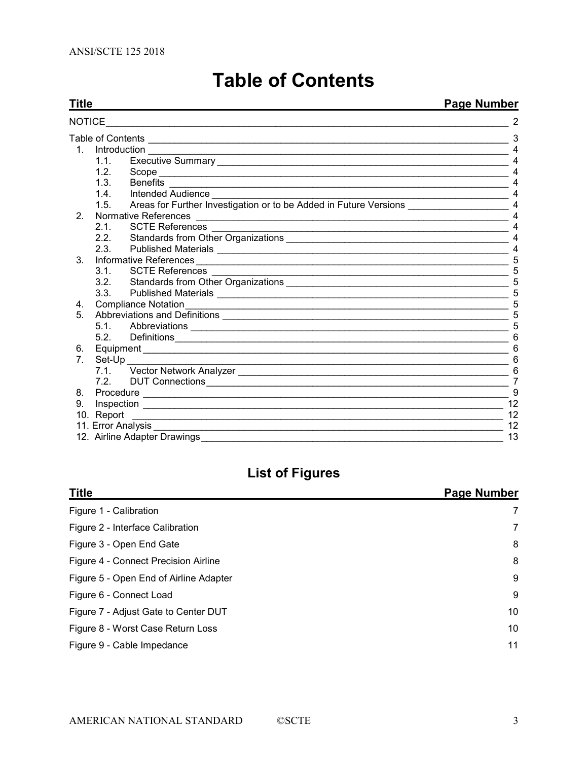<span id="page-2-0"></span>

|                            | <b>Page Number</b><br>Title |                                                                                                                       |                          |
|----------------------------|-----------------------------|-----------------------------------------------------------------------------------------------------------------------|--------------------------|
| <b>NOTICE</b>              |                             | the contract of the contract of the contract of the contract of                                                       |                          |
|                            |                             |                                                                                                                       | 3                        |
|                            |                             | 1. Introduction                                                                                                       |                          |
|                            | 1.1.                        |                                                                                                                       |                          |
|                            | 1.2 <sub>1</sub>            |                                                                                                                       |                          |
|                            | 1.3.                        | <b>Benefits</b>                                                                                                       |                          |
|                            | 1.4.                        |                                                                                                                       |                          |
|                            | 1.5 <sub>1</sub>            | Areas for Further Investigation or to be Added in Future Versions                                                     | $\overline{4}$           |
| 2 <sub>1</sub>             |                             | Normative References                                                                                                  | $\overline{4}$           |
|                            | 2.1.                        |                                                                                                                       | 4                        |
|                            | 2.2.                        |                                                                                                                       | $\overline{\mathcal{A}}$ |
|                            | 2.3.                        |                                                                                                                       | 4                        |
| 3 <sub>1</sub>             |                             | Informative References                                                                                                |                          |
|                            | 3.1                         | <b>SCTE References</b>                                                                                                |                          |
|                            | 3.2.                        |                                                                                                                       | 5                        |
|                            | 3.3 <sub>1</sub>            |                                                                                                                       | 5                        |
| 4.                         |                             |                                                                                                                       |                          |
| 5.                         |                             |                                                                                                                       |                          |
|                            | 5.1                         |                                                                                                                       | 5                        |
|                            | 5.2                         |                                                                                                                       |                          |
| 6.                         |                             |                                                                                                                       | 6                        |
| 7.                         |                             | Set-Up                                                                                                                |                          |
|                            |                             |                                                                                                                       | 6                        |
|                            | 7.2                         | DUT Connections <b>CONNECTION CONNECTION CONNECTION CONNECTION</b>                                                    | $\overline{7}$           |
| 8.                         |                             |                                                                                                                       | 9                        |
| 9.                         |                             |                                                                                                                       | 12                       |
|                            | 10. Report                  | <u> 1989 - Johann Harry Harry Harry Harry Harry Harry Harry Harry Harry Harry Harry Harry Harry Harry Harry Harry</u> | 12                       |
| 11. Error Analysis _______ |                             |                                                                                                                       | 12                       |
|                            |                             | 12. Airline Adapter Drawings                                                                                          | 13                       |

# **Table of Contents**

# **List of Figures**

| <b>Title</b>                           | Page Number |
|----------------------------------------|-------------|
| Figure 1 - Calibration                 | 7           |
| Figure 2 - Interface Calibration       | 7           |
| Figure 3 - Open End Gate               | 8           |
| Figure 4 - Connect Precision Airline   | 8           |
| Figure 5 - Open End of Airline Adapter | 9           |
| Figure 6 - Connect Load                | 9           |
| Figure 7 - Adjust Gate to Center DUT   | 10          |
| Figure 8 - Worst Case Return Loss      | 10          |
| Figure 9 - Cable Impedance             | 11          |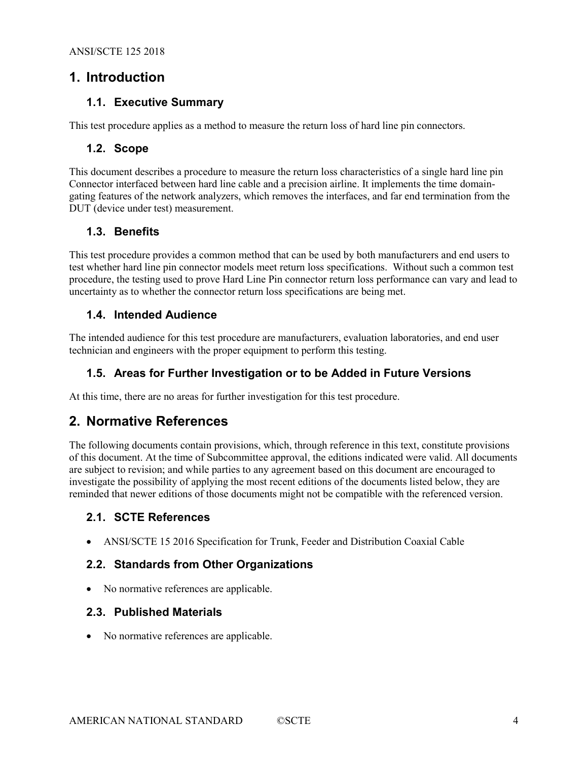## <span id="page-3-1"></span><span id="page-3-0"></span>**1. Introduction**

#### **1.1. Executive Summary**

<span id="page-3-2"></span>This test procedure applies as a method to measure the return loss of hard line pin connectors.

#### **1.2. Scope**

This document describes a procedure to measure the return loss characteristics of a single hard line pin Connector interfaced between hard line cable and a precision airline. It implements the time domaingating features of the network analyzers, which removes the interfaces, and far end termination from the DUT (device under test) measurement.

#### <span id="page-3-3"></span>**1.3. Benefits**

This test procedure provides a common method that can be used by both manufacturers and end users to test whether hard line pin connector models meet return loss specifications. Without such a common test procedure, the testing used to prove Hard Line Pin connector return loss performance can vary and lead to uncertainty as to whether the connector return loss specifications are being met.

#### <span id="page-3-4"></span>**1.4. Intended Audience**

<span id="page-3-5"></span>The intended audience for this test procedure are manufacturers, evaluation laboratories, and end user technician and engineers with the proper equipment to perform this testing.

#### **1.5. Areas for Further Investigation or to be Added in Future Versions**

<span id="page-3-6"></span>At this time, there are no areas for further investigation for this test procedure.

## **2. Normative References**

The following documents contain provisions, which, through reference in this text, constitute provisions of this document. At the time of Subcommittee approval, the editions indicated were valid. All documents are subject to revision; and while parties to any agreement based on this document are encouraged to investigate the possibility of applying the most recent editions of the documents listed below, they are reminded that newer editions of those documents might not be compatible with the referenced version.

#### <span id="page-3-7"></span>**2.1. SCTE References**

• ANSI/SCTE 15 2016 Specification for Trunk, Feeder and Distribution Coaxial Cable

#### <span id="page-3-8"></span>**2.2. Standards from Other Organizations**

<span id="page-3-9"></span>• No normative references are applicable.

#### **2.3. Published Materials**

• No normative references are applicable.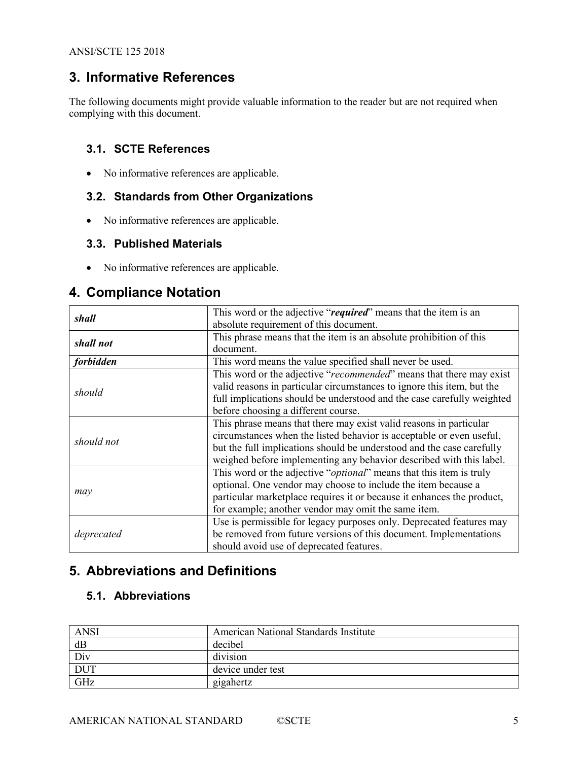# <span id="page-4-0"></span>**3. Informative References**

The following documents might provide valuable information to the reader but are not required when complying with this document.

#### <span id="page-4-1"></span>**3.1. SCTE References**

• No informative references are applicable.

#### <span id="page-4-2"></span>**3.2. Standards from Other Organizations**

• No informative references are applicable.

#### <span id="page-4-3"></span>**3.3. Published Materials**

• No informative references are applicable.

## <span id="page-4-4"></span>**4. Compliance Notation**

| shall      | This word or the adjective "required" means that the item is an              |  |
|------------|------------------------------------------------------------------------------|--|
|            | absolute requirement of this document.                                       |  |
|            | This phrase means that the item is an absolute prohibition of this           |  |
| shall not  | document.                                                                    |  |
| forbidden  | This word means the value specified shall never be used.                     |  |
|            | This word or the adjective "recommended" means that there may exist          |  |
|            | valid reasons in particular circumstances to ignore this item, but the       |  |
| should     | full implications should be understood and the case carefully weighted       |  |
|            | before choosing a different course.                                          |  |
|            | This phrase means that there may exist valid reasons in particular           |  |
|            | circumstances when the listed behavior is acceptable or even useful,         |  |
| should not | but the full implications should be understood and the case carefully        |  |
|            | weighed before implementing any behavior described with this label.          |  |
|            | This word or the adjective " <i>optional</i> " means that this item is truly |  |
|            | optional. One vendor may choose to include the item because a                |  |
| may        | particular marketplace requires it or because it enhances the product,       |  |
|            | for example; another vendor may omit the same item.                          |  |
|            | Use is permissible for legacy purposes only. Deprecated features may         |  |
| deprecated | be removed from future versions of this document. Implementations            |  |
|            | should avoid use of deprecated features.                                     |  |

# <span id="page-4-5"></span>**5. Abbreviations and Definitions**

#### <span id="page-4-6"></span>**5.1. Abbreviations**

| <b>ANSI</b> | American National Standards Institute |
|-------------|---------------------------------------|
| dB          | decibel                               |
| Div         | division                              |
| <b>DUT</b>  | device under test                     |
| GHz         | gigahertz                             |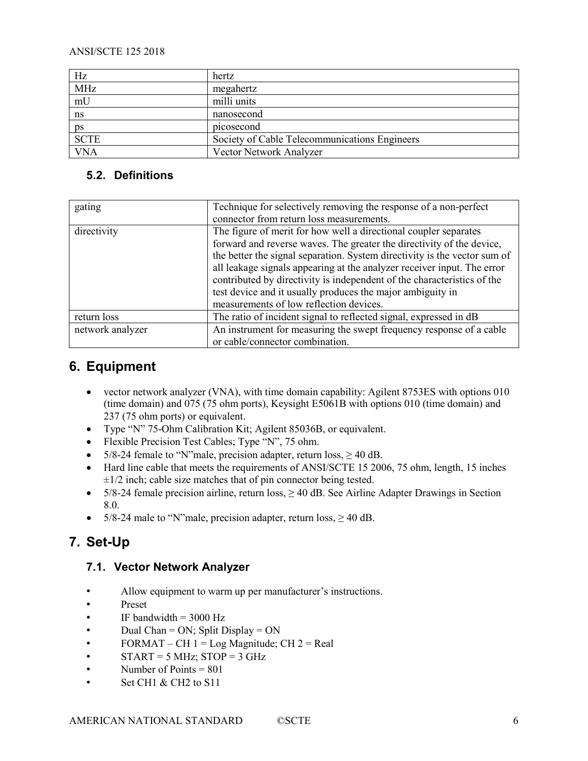#### ANSI/SCTE 125 2018

| Hz          | hertz                                         |
|-------------|-----------------------------------------------|
| <b>MHz</b>  | megahertz                                     |
| mU          | milli units                                   |
| ns          | nanosecond                                    |
| ps          | picosecond                                    |
| <b>SCTE</b> | Society of Cable Telecommunications Engineers |
| <b>VNA</b>  | Vector Network Analyzer                       |

#### <span id="page-5-0"></span>**5.2. Definitions**

| gating           | Technique for selectively removing the response of a non-perfect          |  |
|------------------|---------------------------------------------------------------------------|--|
|                  | connector from return loss measurements.                                  |  |
| directivity      | The figure of merit for how well a directional coupler separates          |  |
|                  | forward and reverse waves. The greater the directivity of the device,     |  |
|                  | the better the signal separation. System directivity is the vector sum of |  |
|                  | all leakage signals appearing at the analyzer receiver input. The error   |  |
|                  | contributed by directivity is independent of the characteristics of the   |  |
|                  | test device and it usually produces the major ambiguity in                |  |
|                  | measurements of low reflection devices.                                   |  |
| return loss      | The ratio of incident signal to reflected signal, expressed in dB         |  |
| network analyzer | An instrument for measuring the swept frequency response of a cable       |  |
|                  | or cable/connector combination.                                           |  |

# <span id="page-5-1"></span>**6. Equipment**

- vector network analyzer (VNA), with time domain capability: Agilent 8753ES with options 010 (time domain) and 075 (75 ohm ports), Keysight E5061B with options 010 (time domain) and 237 (75 ohm ports) or equivalent.
- Type "N" 75-Ohm Calibration Kit; Agilent 85036B, or equivalent.
- Flexible Precision Test Cables; Type "N", 75 ohm.
- 5/8-24 female to "N"male, precision adapter, return  $loss$ ,  $\geq 40$  dB.
- Hard line cable that meets the requirements of ANSI/SCTE 15 2006, 75 ohm, length, 15 inches  $\pm 1/2$  inch; cable size matches that of pin connector being tested.
- 5/8-24 female precision airline, return  $loss$ ,  $\geq 40$  dB. See Airline Adapter Drawings in Section 8.0.
- 5/8-24 male to "N"male, precision adapter, return  $loss$ ,  $\geq 40$  dB.

# <span id="page-5-2"></span>**7. Set-Up**

#### <span id="page-5-3"></span>**7.1. Vector Network Analyzer**

- Allow equipment to warm up per manufacturer's instructions.
- Preset
- IF bandwidth  $= 3000$  Hz
- Dual Chan = ON; Split Display = ON
- FORMAT CH  $1 = Log$  Magnitude; CH  $2 = Real$
- $START = 5 MHz$ ;  $STOP = 3 GHz$
- Number of Points  $= 801$
- Set CH1 & CH2 to S11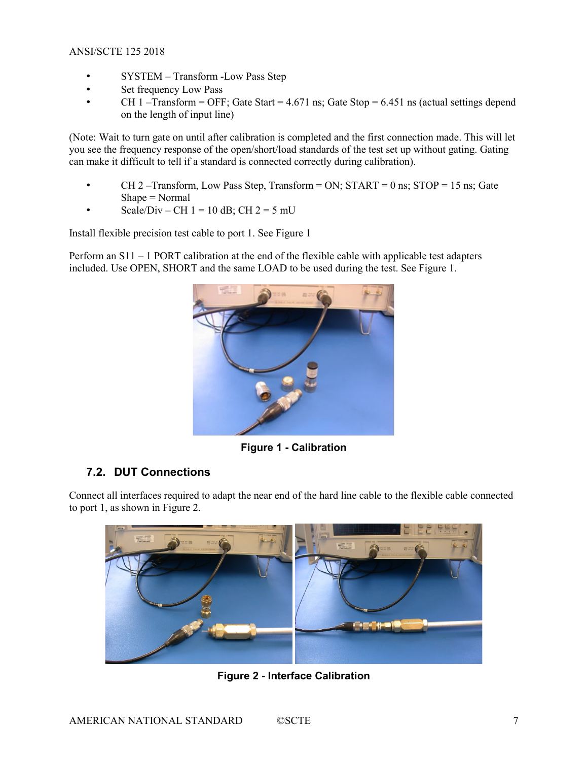- SYSTEM Transform -Low Pass Step
- Set frequency Low Pass
- CH 1 –Transform = OFF; Gate Start =  $4.671$  ns; Gate Stop =  $6.451$  ns (actual settings depend on the length of input line)

(Note: Wait to turn gate on until after calibration is completed and the first connection made. This will let you see the frequency response of the open/short/load standards of the test set up without gating. Gating can make it difficult to tell if a standard is connected correctly during calibration).

- CH 2 Transform, Low Pass Step, Transform = ON;  $START = 0$  ns;  $STOP = 15$  ns; Gate Shape = Normal
- Scale/Div CH  $1 = 10$  dB; CH  $2 = 5$  mU

Install flexible precision test cable to port 1. See [Figure 1](#page-6-1)

Perform an S11 – 1 PORT calibration at the end of the flexible cable with applicable test adapters included. Use OPEN, SHORT and the same LOAD to be used during the test. See [Figure 1.](#page-6-1)



**Figure 1 - Calibration**

#### <span id="page-6-1"></span><span id="page-6-0"></span>**7.2. DUT Connections**

Connect all interfaces required to adapt the near end of the hard line cable to the flexible cable connected to port 1, as shown in [Figure 2.](#page-6-2)

<span id="page-6-2"></span>

**Figure 2 - Interface Calibration**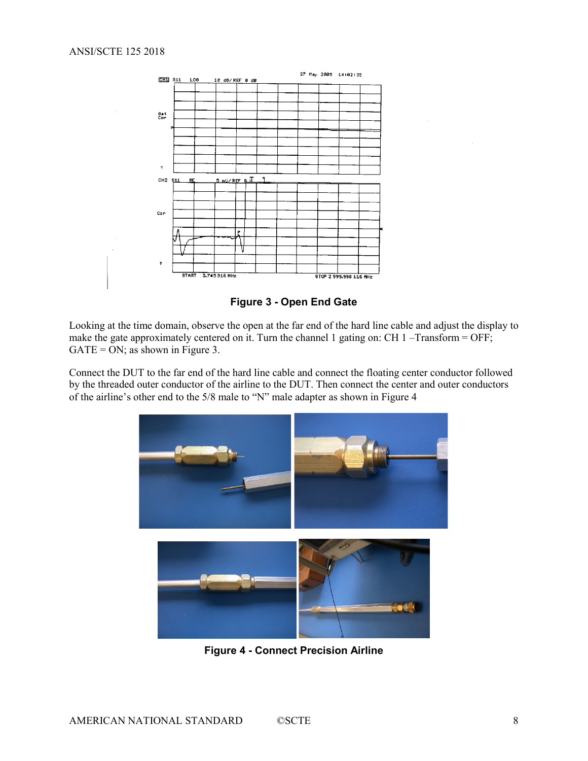

**Figure 3 - Open End Gate**

<span id="page-7-0"></span>Looking at the time domain, observe the open at the far end of the hard line cable and adjust the display to make the gate approximately centered on it. Turn the channel 1 gating on: CH 1 –Transform = OFF;  $GATE = ON$ ; as shown in [Figure 3.](#page-7-0)

Connect the DUT to the far end of the hard line cable and connect the floating center conductor followed by the threaded outer conductor of the airline to the DUT. Then connect the center and outer conductors of the airline's other end to the 5/8 male to "N" male adapter as shown in [Figure 4](#page-7-1)

<span id="page-7-1"></span>

**Figure 4 - Connect Precision Airline**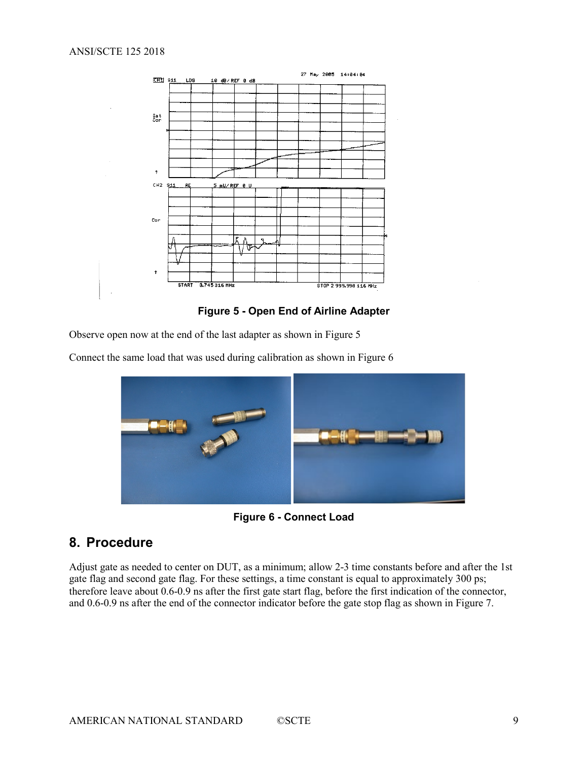

**Figure 5 - Open End of Airline Adapter**

<span id="page-8-1"></span>Observe open now at the end of the last adapter as shown i[n Figure 5](#page-8-1)

Connect the same load that was used during calibration as shown i[n Figure 6](#page-8-2)



**Figure 6 - Connect Load**

## <span id="page-8-2"></span><span id="page-8-0"></span>**8. Procedure**

Adjust gate as needed to center on DUT, as a minimum; allow 2-3 time constants before and after the 1st gate flag and second gate flag. For these settings, a time constant is equal to approximately 300 ps; therefore leave about 0.6-0.9 ns after the first gate start flag, before the first indication of the connector, and 0.6-0.9 ns after the end of the connector indicator before the gate stop flag as shown in [Figure 7.](#page-9-0)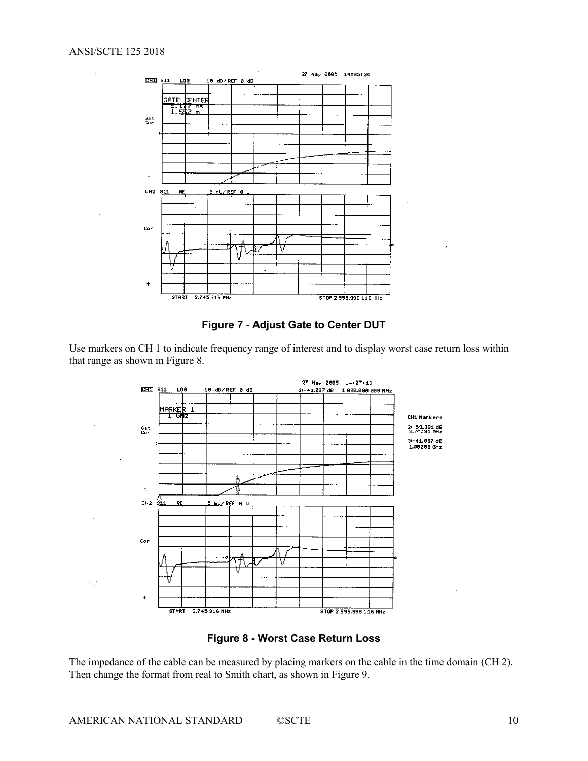

**Figure 7 - Adjust Gate to Center DUT**

<span id="page-9-0"></span>Use markers on CH 1 to indicate frequency range of interest and to display worst case return loss within that range as shown in [Figure 8.](#page-9-1)



**Figure 8 - Worst Case Return Loss**

<span id="page-9-1"></span>The impedance of the cable can be measured by placing markers on the cable in the time domain (CH 2). Then change the format from real to Smith chart, as shown in [Figure 9.](#page-10-0)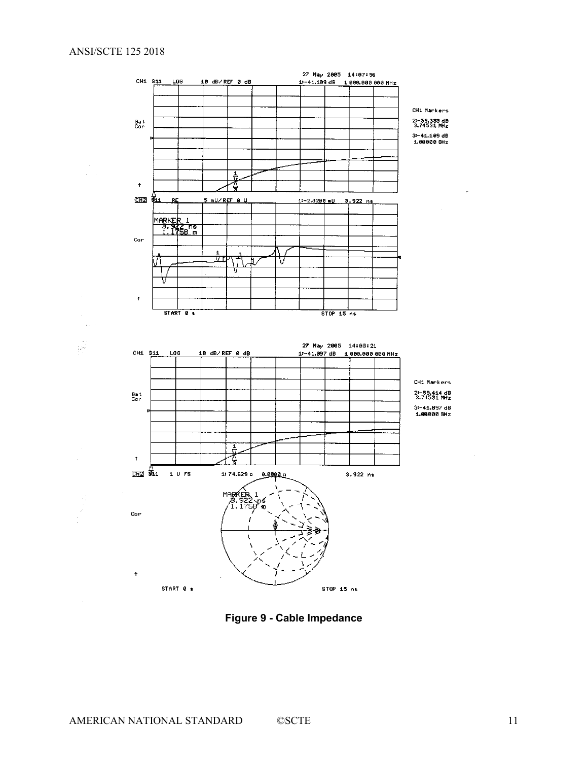

<span id="page-10-0"></span>**Figure 9 - Cable Impedance**

 $\lambda$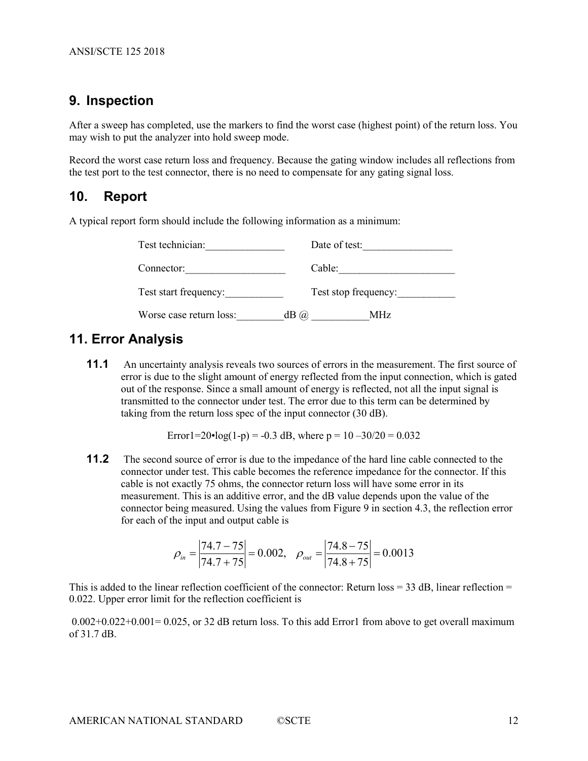#### <span id="page-11-0"></span>**9. Inspection**

After a sweep has completed, use the markers to find the worst case (highest point) of the return loss. You may wish to put the analyzer into hold sweep mode.

Record the worst case return loss and frequency. Because the gating window includes all reflections from the test port to the test connector, there is no need to compensate for any gating signal loss.

#### <span id="page-11-1"></span>**10. Report**

A typical report form should include the following information as a minimum:

| Test technician:        | Date of test:             |  |
|-------------------------|---------------------------|--|
| Connector:              | Cable:                    |  |
| Test start frequency:   | Test stop frequency:      |  |
| Worse case return loss: | $dB$ ( <i>a</i> )<br>MHz. |  |

## <span id="page-11-2"></span>**11. Error Analysis**

**11.1** An uncertainty analysis reveals two sources of errors in the measurement. The first source of error is due to the slight amount of energy reflected from the input connection, which is gated out of the response. Since a small amount of energy is reflected, not all the input signal is transmitted to the connector under test. The error due to this term can be determined by taking from the return loss spec of the input connector (30 dB).

Error1=20•log(1-p) = -0.3 dB, where  $p = 10 - 30/20 = 0.032$ 

**11.2** The second source of error is due to the impedance of the hard line cable connected to the connector under test. This cable becomes the reference impedance for the connector. If this cable is not exactly 75 ohms, the connector return loss will have some error in its measurement. This is an additive error, and the dB value depends upon the value of the connector being measured. Using the values from Figure 9 in section 4.3, the reflection error for each of the input and output cable is

$$
\rho_{in} = \left| \frac{74.7 - 75}{74.7 + 75} \right| = 0.002, \quad \rho_{out} = \left| \frac{74.8 - 75}{74.8 + 75} \right| = 0.0013
$$

This is added to the linear reflection coefficient of the connector: Return  $loss = 33$  dB, linear reflection  $=$ 0.022. Upper error limit for the reflection coefficient is

0.002+0.022+0.001= 0.025, or 32 dB return loss. To this add Error1 from above to get overall maximum of 31.7 dB.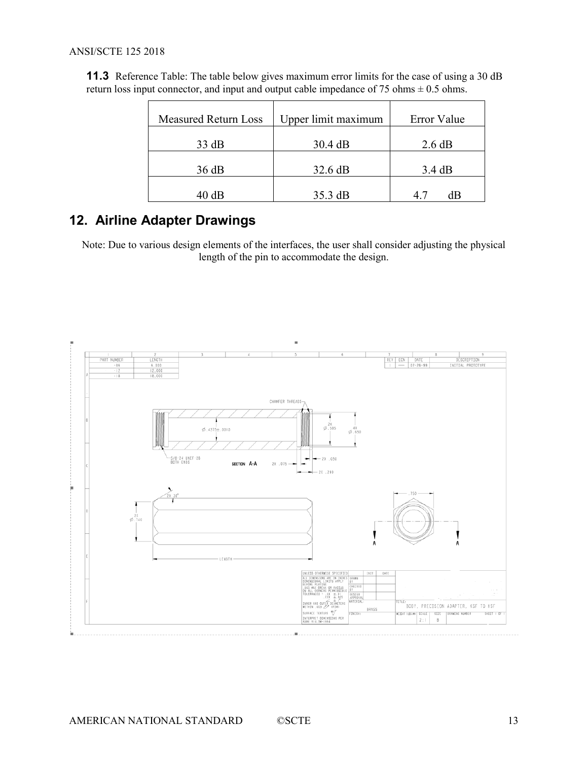#### ANSI/SCTE 125 2018

| <b>Measured Return Loss</b> | Upper limit maximum | Error Value |
|-----------------------------|---------------------|-------------|
| 33 dB                       | 30.4 dB             | 2.6 dB      |
| 36 dB                       | 32.6 dB             | 3.4 dB      |
| 40 dB                       | $35.3 \text{ dB}$   | dВ<br>47    |

**11.3** Reference Table: The table below gives maximum error limits for the case of using a 30 dB return loss input connector, and input and output cable impedance of 75 ohms  $\pm$  0.5 ohms.

# <span id="page-12-0"></span>**12. Airline Adapter Drawings**

Note: Due to various design elements of the interfaces, the user shall consider adjusting the physical length of the pin to accommodate the design.